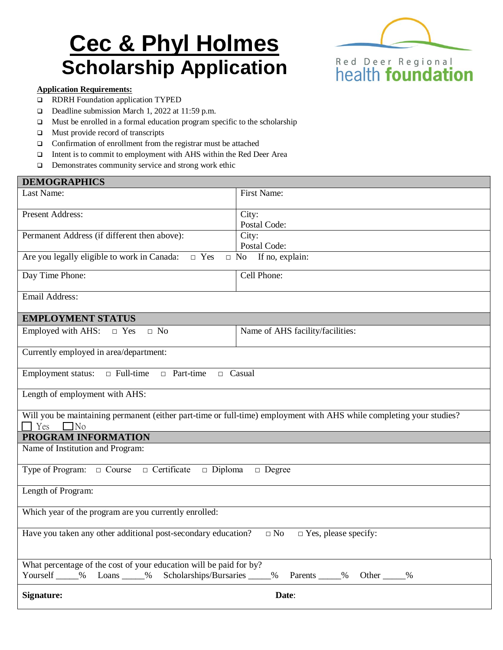# **Cec & Phyl Holmes Scholarship Application**



#### **Application Requirements:**

- RDRH Foundation application TYPED
- Deadline submission March 1, 2022 at 11:59 p.m.
- Must be enrolled in a formal education program specific to the scholarship
- $\Box$  Must provide record of transcripts
- Confirmation of enrollment from the registrar must be attached
- Intent is to commit to employment with AHS within the Red Deer Area
- □ Demonstrates community service and strong work ethic

| First Name:                                                                                                                                                     |  |  |  |
|-----------------------------------------------------------------------------------------------------------------------------------------------------------------|--|--|--|
| Postal Code:                                                                                                                                                    |  |  |  |
| Postal Code:                                                                                                                                                    |  |  |  |
| Are you legally eligible to work in Canada:<br>$\Box$ Yes<br>$\Box$ No If no, explain:                                                                          |  |  |  |
| Cell Phone:                                                                                                                                                     |  |  |  |
|                                                                                                                                                                 |  |  |  |
| <b>EMPLOYMENT STATUS</b>                                                                                                                                        |  |  |  |
| Name of AHS facility/facilities:                                                                                                                                |  |  |  |
| Currently employed in area/department:                                                                                                                          |  |  |  |
| $\Box$ Full-time<br><b>Employment status:</b><br>$\Box$ Part-time<br>$\Box$ Casual                                                                              |  |  |  |
| Length of employment with AHS:                                                                                                                                  |  |  |  |
| Will you be maintaining permanent (either part-time or full-time) employment with AHS while completing your studies?<br>Yes<br>$\Box$ No                        |  |  |  |
| PROGRAM INFORMATION                                                                                                                                             |  |  |  |
| Name of Institution and Program:                                                                                                                                |  |  |  |
| Type of Program: $\Box$ Course<br>$\Box$ Certificate $\Box$ Diploma<br>$\Box$ Degree                                                                            |  |  |  |
| Length of Program:                                                                                                                                              |  |  |  |
| Which year of the program are you currently enrolled:                                                                                                           |  |  |  |
| Have you taken any other additional post-secondary education?<br>$\square$ No<br>$\Box$ Yes, please specify:                                                    |  |  |  |
| What percentage of the cost of your education will be paid for by?<br>Yourself _____% Loans _____% Scholarships/Bursaries _____%<br>Parents _____% Other _____% |  |  |  |
| <b>Signature:</b><br>Date:                                                                                                                                      |  |  |  |
|                                                                                                                                                                 |  |  |  |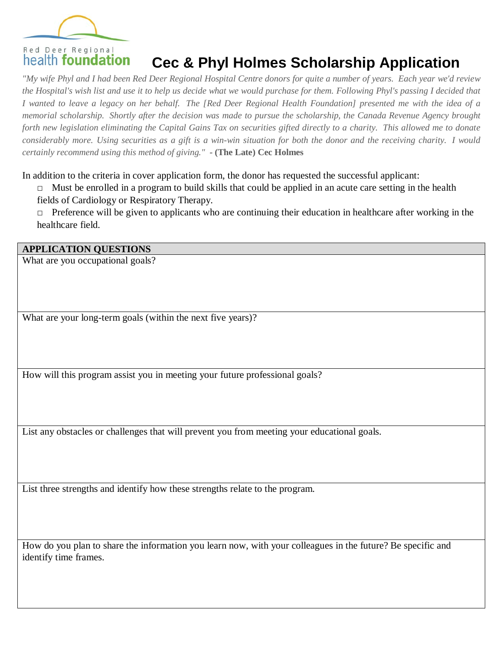

# **Cec & Phyl Holmes Scholarship Application**

*"My wife Phyl and I had been Red Deer Regional Hospital Centre donors for quite a number of years. Each year we'd review the Hospital's wish list and use it to help us decide what we would purchase for them. Following Phyl's passing I decided that I wanted to leave a legacy on her behalf. The [Red Deer Regional Health Foundation] presented me with the idea of a memorial scholarship. Shortly after the decision was made to pursue the scholarship, the Canada Revenue Agency brought forth new legislation eliminating the Capital Gains Tax on securities gifted directly to a charity. This allowed me to donate considerably more. Using securities as a gift is a win-win situation for both the donor and the receiving charity. I would certainly recommend using this method of giving." -* **(The Late) Cec Holmes**

In addition to the criteria in cover application form, the donor has requested the successful applicant:

 $\Box$  Must be enrolled in a program to build skills that could be applied in an acute care setting in the health fields of Cardiology or Respiratory Therapy.

□ Preference will be given to applicants who are continuing their education in healthcare after working in the healthcare field.

#### **APPLICATION QUESTIONS**

What are you occupational goals?

What are your long-term goals (within the next five years)?

How will this program assist you in meeting your future professional goals?

List any obstacles or challenges that will prevent you from meeting your educational goals.

List three strengths and identify how these strengths relate to the program.

How do you plan to share the information you learn now, with your colleagues in the future? Be specific and identify time frames.